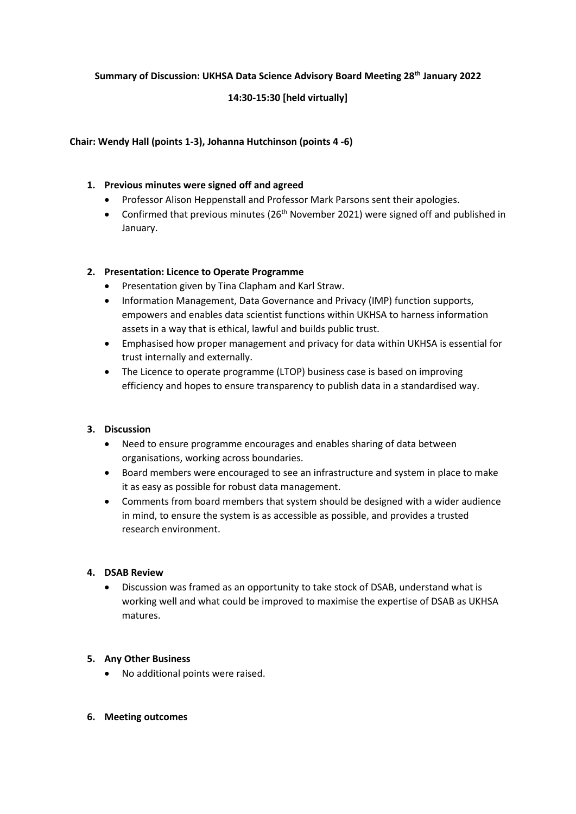### **Summary of Discussion: UKHSA Data Science Advisory Board Meeting 28th January 2022**

# **14:30-15:30 [held virtually]**

### **Chair: Wendy Hall (points 1-3), Johanna Hutchinson (points 4 -6)**

## **1. Previous minutes were signed off and agreed**

- Professor Alison Heppenstall and Professor Mark Parsons sent their apologies.
- Confirmed that previous minutes  $(26<sup>th</sup>$  November 2021) were signed off and published in January.

### **2. Presentation: Licence to Operate Programme**

- Presentation given by Tina Clapham and Karl Straw.
- Information Management, Data Governance and Privacy (IMP) function supports, empowers and enables data scientist functions within UKHSA to harness information assets in a way that is ethical, lawful and builds public trust.
- Emphasised how proper management and privacy for data within UKHSA is essential for trust internally and externally.
- The Licence to operate programme (LTOP) business case is based on improving efficiency and hopes to ensure transparency to publish data in a standardised way.

#### **3. Discussion**

- Need to ensure programme encourages and enables sharing of data between organisations, working across boundaries.
- Board members were encouraged to see an infrastructure and system in place to make it as easy as possible for robust data management.
- Comments from board members that system should be designed with a wider audience in mind, to ensure the system is as accessible as possible, and provides a trusted research environment.

#### **4. DSAB Review**

• Discussion was framed as an opportunity to take stock of DSAB, understand what is working well and what could be improved to maximise the expertise of DSAB as UKHSA matures.

#### **5. Any Other Business**

- No additional points were raised.
- **6. Meeting outcomes**